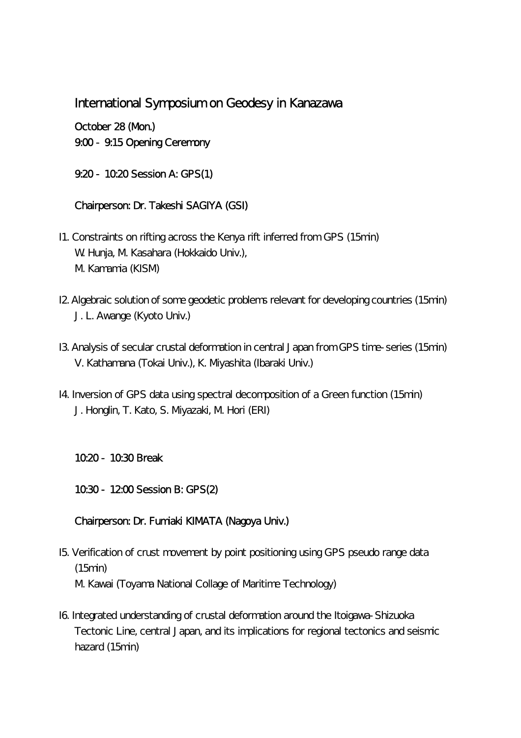# International Symposium on Geodesy in Kanazawa

## October 28 (Mon.) 9:00 - 9:15 Opening Ceremony

9.20 - 10.20 Session A: GPS(1)

## Chairperson: Dr. Takeshi SAGIYA (GSI)

- I1. Constraints on rifting across the Kenya rift inferred from GPS (15min) W. Hunja, M. Kasahara (Hokkaido Univ.), M. Kamamia (KISM)
- I2. Algebraic solution of some geodetic problems relevant for developing countries (15min) J. L. Awange (Kyoto Univ.)
- I3. Analysis of secular crustal deformation in central Japan from GPS time-series (15min) V. Kathamana (Tokai Univ.), K. Miyashita (Ibaraki Univ.)
- I4. Inversion of GPS data using spectral decomposition of a Green function (15min) J. Honglin, T. Kato, S. Miyazaki, M. Hori (ERI)

## 10:20 - 10:30 Break

1030 - 1200 Session B: GPS(2)

## Chairperson: Dr. Fumiaki KIMATA (Nagoya Univ.)

- I5. Verification of crust movement by point positioning using GPS pseudo range data (15min) M. Kawai (Toyama National Collage of Maritime Technology)
- I6. Integrated understanding of crustal deformation around the Itoigawa-Shizuoka Tectonic Line, central Japan, and its implications for regional tectonics and seismic hazard (15min)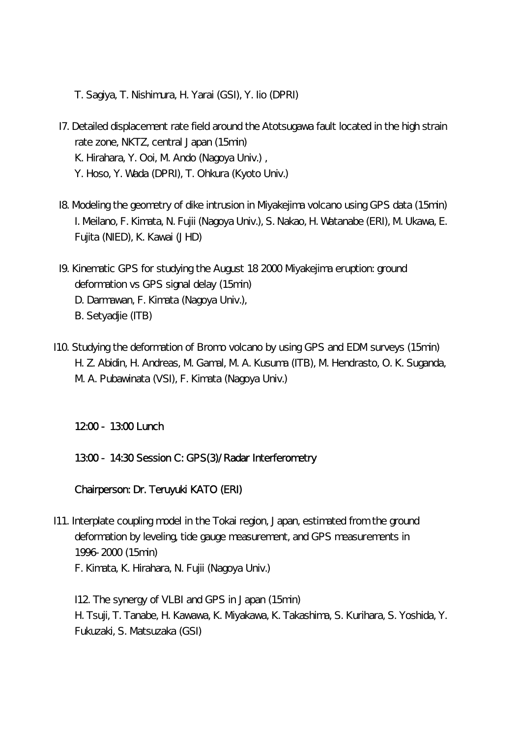- T. Sagiya, T. Nishimura, H. Yarai (GSI), Y. Iio (DPRI)
- I7. Detailed displacement rate field around the Atotsugawa fault located in the high strain rate zone, NKTZ, central Japan (15min) K. Hirahara, Y. Ooi, M. Ando (Nagoya Univ.) , Y. Hoso, Y. Wada (DPRI), T. Ohkura (Kyoto Univ.)
- I8. Modeling the geometry of dike intrusion in Miyakejima volcano using GPS data (15min) I. Meilano, F. Kimata, N. Fujii (Nagoya Univ.), S. Nakao, H. Watanabe (ERI), M. Ukawa, E. Fujita (NIED), K. Kawai (JHD)
- I9. Kinematic GPS for studying the August 18 2000 Miyakejima eruption: ground deformation vs GPS signal delay (15min) D. Darmawan, F. Kimata (Nagoya Univ.),
	- B. Setyadjie (ITB)
- I10. Studying the deformation of Bromo volcano by using GPS and EDM surveys (15min) H. Z. Abidin, H. Andreas, M. Gamal, M. A. Kusuma (ITB), M. Hendrasto, O. K. Suganda, M. A. Pubawinata (VSI), F. Kimata (Nagoya Univ.)

## 1200 - 1300 Lunch

#### 1300 - 14:30 Session C: GPS(3)/Radar Interferometry

#### Chairperson: Dr. Teruyuki KATO (ERI)

I11. Interplate coupling model in the Tokai region, Japan, estimated from the ground deformation by leveling, tide gauge measurement, and GPS measurements in 1996-2000 (15min) F. Kimata, K. Hirahara, N. Fujii (Nagoya Univ.)

I12. The synergy of VLBI and GPS in Japan (15min) H. Tsuji, T. Tanabe, H. Kawawa, K. Miyakawa, K. Takashima, S. Kurihara, S. Yoshida, Y. Fukuzaki, S. Matsuzaka (GSI)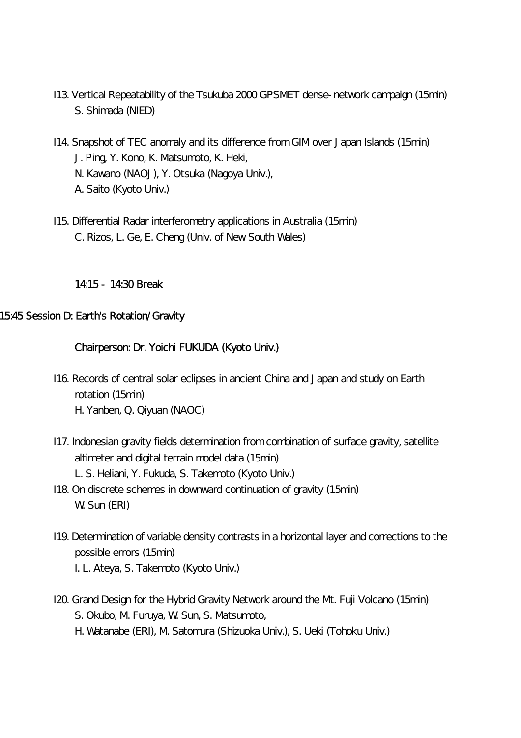- I13. Vertical Repeatability of the Tsukuba 2000 GPSMET dense-network campaign (15min) S. Shimada (NIED)
- I14. Snapshot of TEC anomaly and its difference from GIM over Japan Islands (15min) J. Ping, Y. Kono, K. Matsumoto, K. Heki, N. Kawano (NAOJ), Y. Otsuka (Nagoya Univ.), A. Saito (Kyoto Univ.)
- I15. Differential Radar interferometry applications in Australia (15min) C. Rizos, L. Ge, E. Cheng (Univ. of New South Wales)

#### 14:15 - 14:30 Break

#### 15:45 Session D: Earth's Rotation/Gravity

## Chairperson: Dr. Yoichi FUKUDA (Kyoto Univ.)

- I16. Records of central solar eclipses in ancient China and Japan and study on Earth rotation (15min) H. Yanben, Q. Qiyuan (NAOC)
- I17. Indonesian gravity fields determination from combination of surface gravity, satellite altimeter and digital terrain model data (15min)
	- L. S. Heliani, Y. Fukuda, S. Takemoto (Kyoto Univ.)
- I18. On discrete schemes in downward continuation of gravity (15min) W. Sun (ERI)
- I19. Determination of variable density contrasts in a horizontal layer and corrections to the possible errors (15min) I. L. Ateya, S. Takemoto (Kyoto Univ.)
- I20. Grand Design for the Hybrid Gravity Network around the Mt. Fuji Volcano (15min) S. Okubo, M. Furuya, W. Sun, S. Matsumoto, H. Watanabe (ERI), M. Satomura (Shizuoka Univ.), S. Ueki (Tohoku Univ.)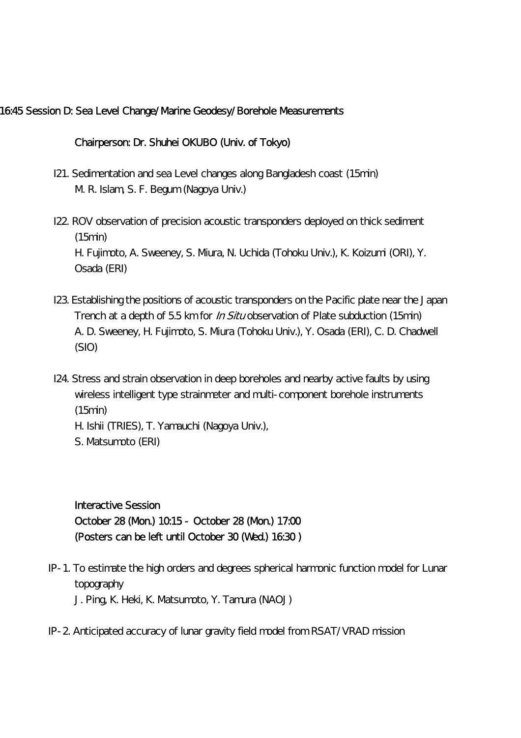### 16:45 Session D: Sea Level Change/Marine Geodesy/Borehole Measurements

### Chairperson: Dr. Shuhei OKUBO (Univ. of Tokyo)

- I21. Sedimentation and sea Level changes along Bangladesh coast (15min) M. R. Islam, S. F. Begum (Nagoya Univ.)
- I22. ROV observation of precision acoustic transponders deployed on thick sediment (15min) H. Fujimoto, A. Sweeney, S. Miura, N. Uchida (Tohoku Univ.), K. Koizumi (ORI), Y. Osada (ERI)
- I23. Establishing the positions of acoustic transponders on the Pacific plate near the Japan Trench at a depth of 5.5 km for In Situ observation of Plate subduction (15min) A. D. Sweeney, H. Fujimoto, S. Miura (Tohoku Univ.), Y. Osada (ERI), C. D. Chadwell (SIO)
- I24. Stress and strain observation in deep boreholes and nearby active faults by using wireless intelligent type strainmeter and multi-component borehole instruments (15min)
	- H. Ishii (TRIES), T. Yamauchi (Nagoya Univ.),
	- S. Matsumoto (ERI)

## Interactive Session October 28 (Mon.) 10:15 - October 28 (Mon.) 17:00 (Posters can be left until October 30 (Wed.) 16:30 )

- IP-1. To estimate the high orders and degrees spherical harmonic function model for Lunar topography
	- J. Ping, K. Heki, K. Matsumoto, Y. Tamura (NAOJ)
- IP-2. Anticipated accuracy of lunar gravity field model from RSAT/VRAD mission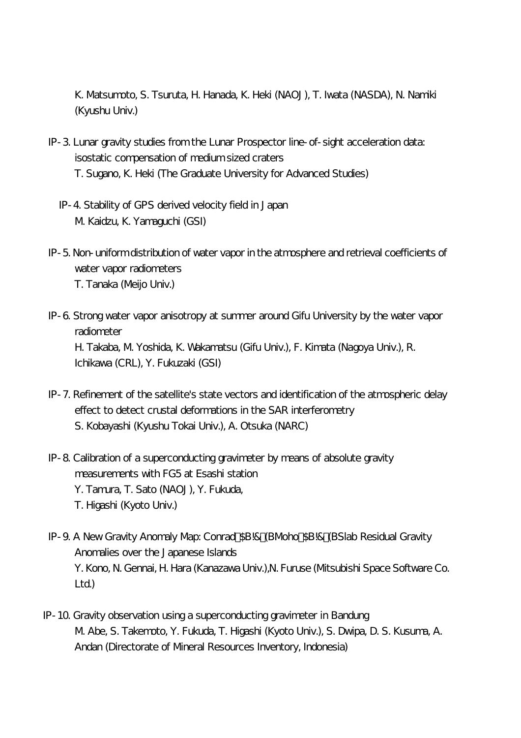K. Matsumoto, S. Tsuruta, H. Hanada, K. Heki (NAOJ), T. Iwata (NASDA), N. Namiki (Kyushu Univ.)

- IP-3. Lunar gravity studies from the Lunar Prospector line-of-sight acceleration data: isostatic compensation of medium sized craters T. Sugano, K. Heki (The Graduate University for Advanced Studies)
	- IP-4. Stability of GPS derived velocity field in Japan M. Kaidzu, K. Yamaguchi (GSI)
- IP-5. Non-uniform distribution of water vapor in the atmosphere and retrieval coefficients of water vapor radiometers T. Tanaka (Meijo Univ.)
- IP-6. Strong water vapor anisotropy at summer around Gifu University by the water vapor radiometer H. Takaba, M. Yoshida, K. Wakamatsu (Gifu Univ.), F. Kimata (Nagoya Univ.), R. Ichikawa (CRL), Y. Fukuzaki (GSI)
- IP-7. Refinement of the satellite's state vectors and identification of the atmospheric delay effect to detect crustal deformations in the SAR interferometry S. Kobayashi (Kyushu Tokai Univ.), A. Otsuka (NARC)
- IP-8. Calibration of a superconducting gravimeter by means of absolute gravity measurements with FG5 at Esashi station
	- Y. Tamura, T. Sato (NAOJ), Y. Fukuda,
	- T. Higashi (Kyoto Univ.)
- IP-9. A New Gravity Anomaly Map: Conrad \$B!& (BMoho \$B!& (BSlab Residual Gravity Anomalies over the Japanese Islands Y. Kono, N. Gennai, H. Hara (Kanazawa Univ.),N. Furuse (Mitsubishi Space Software Co. Ltd.)
- IP-10. Gravity observation using a superconducting gravimeter in Bandung M. Abe, S. Takemoto, Y. Fukuda, T. Higashi (Kyoto Univ.), S. Dwipa, D. S. Kusuma, A. Andan (Directorate of Mineral Resources Inventory, Indonesia)